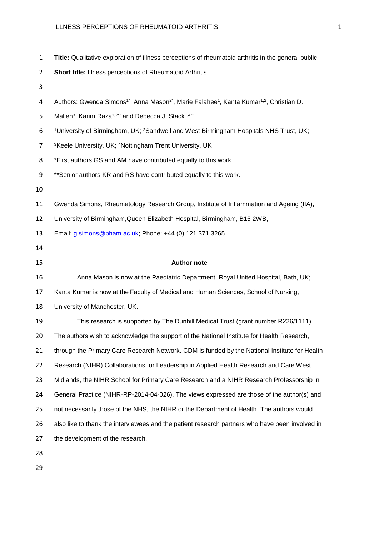- **Title:** Qualitative exploration of illness perceptions of rheumatoid arthritis in the general public.
- **Short title:** Illness perceptions of Rheumatoid Arthritis
- 
- 4 Authors: Gwenda Simons<sup>1\*</sup>, Anna Mason<sup>2\*</sup>, Marie Falahee<sup>1</sup>, Kanta Kumar<sup>1,2</sup>, Christian D.
- 5 Mallen<sup>3</sup>, Karim Raza<sup>1,2\*\*</sup> and Rebecca J. Stack<sup>1,4\*\*</sup>
- 6 University of Birmingham, UK; <sup>2</sup>Sandwell and West Birmingham Hospitals NHS Trust, UK;
- 7 <sup>3</sup>Keele University, UK; <sup>4</sup>Nottingham Trent University, UK
- \*First authors GS and AM have contributed equally to this work.

- 
- Gwenda Simons, Rheumatology Research Group, Institute of Inflammation and Ageing (IIA),
- University of Birmingham,Queen Elizabeth Hospital, Birmingham, B15 2WB,

Email: [g.simons@bham.ac.uk;](mailto:g.simons@bham.ac.uk) Phone: +44 (0) 121 371 3265

#### **Author note**

- Anna Mason is now at the Paediatric Department, Royal United Hospital, Bath, UK;
- Kanta Kumar is now at the Faculty of Medical and Human Sciences, School of Nursing,
- University of Manchester, UK.

 This research is supported by The Dunhill Medical Trust (grant number R226/1111). 20 The authors wish to acknowledge the support of the National Institute for Health Research, through the Primary Care Research Network. CDM is funded by the National Institute for Health Research (NIHR) Collaborations for Leadership in Applied Health Research and Care West Midlands, the NIHR School for Primary Care Research and a NIHR Research Professorship in General Practice (NIHR-RP-2014-04-026). The views expressed are those of the author(s) and not necessarily those of the NHS, the NIHR or the Department of Health. The authors would also like to thank the interviewees and the patient research partners who have been involved in the development of the research.

- 
- 

<sup>9 \*\*</sup> Senior authors KR and RS have contributed equally to this work.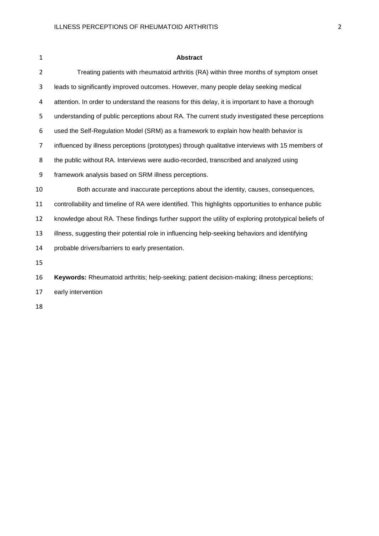| $\mathbf{1}$   | <b>Abstract</b>                                                                                     |
|----------------|-----------------------------------------------------------------------------------------------------|
| $\overline{2}$ | Treating patients with rheumatoid arthritis (RA) within three months of symptom onset               |
| 3              | leads to significantly improved outcomes. However, many people delay seeking medical                |
| 4              | attention. In order to understand the reasons for this delay, it is important to have a thorough    |
| 5              | understanding of public perceptions about RA. The current study investigated these perceptions      |
| 6              | used the Self-Regulation Model (SRM) as a framework to explain how health behavior is               |
| 7              | influenced by illness perceptions (prototypes) through qualitative interviews with 15 members of    |
| 8              | the public without RA. Interviews were audio-recorded, transcribed and analyzed using               |
| 9              | framework analysis based on SRM illness perceptions.                                                |
| 10             | Both accurate and inaccurate perceptions about the identity, causes, consequences,                  |
| 11             | controllability and timeline of RA were identified. This highlights opportunities to enhance public |
| 12             | knowledge about RA. These findings further support the utility of exploring prototypical beliefs of |
| 13             | illness, suggesting their potential role in influencing help-seeking behaviors and identifying      |
| 14             | probable drivers/barriers to early presentation.                                                    |
| 15             |                                                                                                     |
| 16             | Keywords: Rheumatoid arthritis; help-seeking; patient decision-making; illness perceptions;         |
| 17             | early intervention                                                                                  |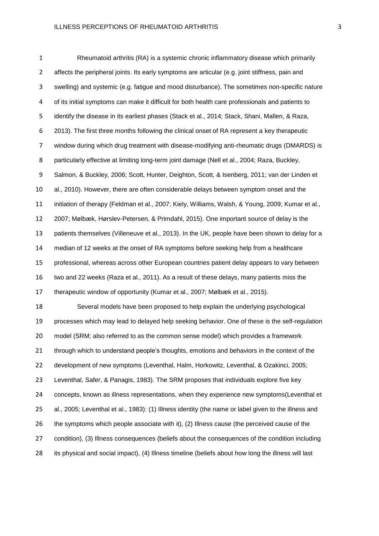Rheumatoid arthritis (RA) is a systemic chronic inflammatory disease which primarily affects the peripheral joints. Its early symptoms are articular (e.g. joint stiffness, pain and swelling) and systemic (e.g. fatigue and mood disturbance). The sometimes non-specific nature of its initial symptoms can make it difficult for both health care professionals and patients to identify the disease in its earliest phases (Stack et al., 2014; Stack, Shani, Mallen, & Raza, 2013). The first three months following the clinical onset of RA represent a key therapeutic window during which drug treatment with disease-modifying anti-rheumatic drugs (DMARDS) is 8 particularly effective at limiting long-term joint damage (Nell et al., 2004; Raza, Buckley, Salmon, & Buckley, 2006; Scott, Hunter, Deighton, Scott, & Isenberg, 2011; van der Linden et al., 2010). However, there are often considerable delays between symptom onset and the initiation of therapy (Feldman et al., 2007; Kiely, Williams, Walsh, & Young, 2009; Kumar et al., 2007; Mølbæk, Hørslev-Petersen, & Primdahl, 2015). One important source of delay is the patients themselves (Villeneuve et al., 2013). In the UK, people have been shown to delay for a median of 12 weeks at the onset of RA symptoms before seeking help from a healthcare professional, whereas across other European countries patient delay appears to vary between two and 22 weeks (Raza et al., 2011). As a result of these delays, many patients miss the therapeutic window of opportunity (Kumar et al., 2007; Mølbæk et al., 2015). Several models have been proposed to help explain the underlying psychological processes which may lead to delayed help seeking behavior. One of these is the self-regulation model (SRM; also referred to as the common sense model) which provides a framework through which to understand people's thoughts, emotions and behaviors in the context of the development of new symptoms (Leventhal, Halm, Horkowitz, Leventhal, & Ozakinci, 2005; Leventhal, Safer, & Panagis, 1983). The SRM proposes that individuals explore five key 24 concepts, known as illness representations, when they experience new symptoms(Leventhal et al., 2005; Leventhal et al., 1983): (1) Illness identity (the name or label given to the illness and the symptoms which people associate with it), (2) Illness cause (the perceived cause of the condition), (3) Illness consequences (beliefs about the consequences of the condition including its physical and social impact), (4) Illness timeline (beliefs about how long the illness will last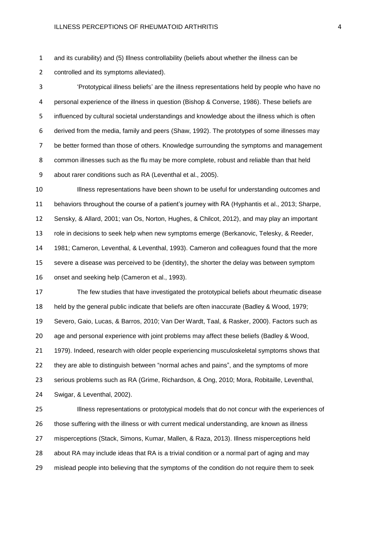and its curability) and (5) Illness controllability (beliefs about whether the illness can be

controlled and its symptoms alleviated).

 'Prototypical illness beliefs' are the illness representations held by people who have no personal experience of the illness in question (Bishop & Converse, 1986). These beliefs are influenced by cultural societal understandings and knowledge about the illness which is often derived from the media, family and peers (Shaw, 1992). The prototypes of some illnesses may be better formed than those of others. Knowledge surrounding the symptoms and management common illnesses such as the flu may be more complete, robust and reliable than that held about rarer conditions such as RA (Leventhal et al., 2005).

 Illness representations have been shown to be useful for understanding outcomes and behaviors throughout the course of a patient's journey with RA (Hyphantis et al., 2013; Sharpe, Sensky, & Allard, 2001; van Os, Norton, Hughes, & Chilcot, 2012), and may play an important role in decisions to seek help when new symptoms emerge (Berkanovic, Telesky, & Reeder, 1981; Cameron, Leventhal, & Leventhal, 1993). Cameron and colleagues found that the more severe a disease was perceived to be (identity), the shorter the delay was between symptom onset and seeking help (Cameron et al., 1993).

 The few studies that have investigated the prototypical beliefs about rheumatic disease held by the general public indicate that beliefs are often inaccurate (Badley & Wood, 1979; Severo, Gaio, Lucas, & Barros, 2010; Van Der Wardt, Taal, & Rasker, 2000). Factors such as age and personal experience with joint problems may affect these beliefs (Badley & Wood, 1979). Indeed, research with older people experiencing musculoskeletal symptoms shows that they are able to distinguish between "normal aches and pains", and the symptoms of more serious problems such as RA (Grime, Richardson, & Ong, 2010; Mora, Robitaille, Leventhal, Swigar, & Leventhal, 2002).

 Illness representations or prototypical models that do not concur with the experiences of those suffering with the illness or with current medical understanding, are known as illness misperceptions (Stack, Simons, Kumar, Mallen, & Raza, 2013). Illness misperceptions held about RA may include ideas that RA is a trivial condition or a normal part of aging and may mislead people into believing that the symptoms of the condition do not require them to seek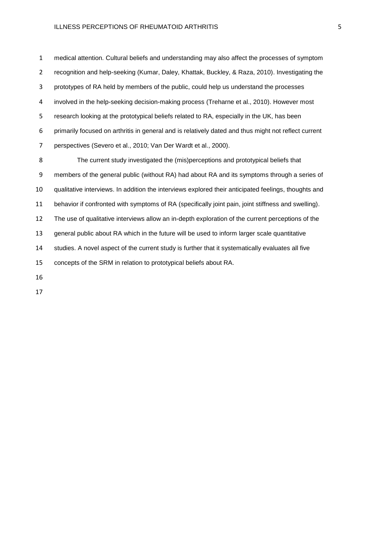medical attention. Cultural beliefs and understanding may also affect the processes of symptom recognition and help-seeking (Kumar, Daley, Khattak, Buckley, & Raza, 2010). Investigating the prototypes of RA held by members of the public, could help us understand the processes involved in the help-seeking decision-making process (Treharne et al., 2010). However most research looking at the prototypical beliefs related to RA, especially in the UK, has been primarily focused on arthritis in general and is relatively dated and thus might not reflect current perspectives (Severo et al., 2010; Van Der Wardt et al., 2000). The current study investigated the (mis)perceptions and prototypical beliefs that members of the general public (without RA) had about RA and its symptoms through a series of qualitative interviews. In addition the interviews explored their anticipated feelings, thoughts and behavior if confronted with symptoms of RA (specifically joint pain, joint stiffness and swelling). The use of qualitative interviews allow an in-depth exploration of the current perceptions of the general public about RA which in the future will be used to inform larger scale quantitative studies. A novel aspect of the current study is further that it systematically evaluates all five concepts of the SRM in relation to prototypical beliefs about RA.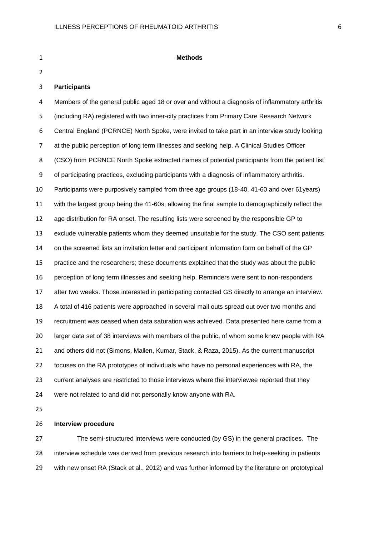| $\mathbf{1}$   | <b>Methods</b>                                                                                    |
|----------------|---------------------------------------------------------------------------------------------------|
| $\overline{2}$ |                                                                                                   |
| 3              | <b>Participants</b>                                                                               |
| 4              | Members of the general public aged 18 or over and without a diagnosis of inflammatory arthritis   |
| 5              | (including RA) registered with two inner-city practices from Primary Care Research Network        |
| 6              | Central England (PCRNCE) North Spoke, were invited to take part in an interview study looking     |
| 7              | at the public perception of long term illnesses and seeking help. A Clinical Studies Officer      |
| 8              | (CSO) from PCRNCE North Spoke extracted names of potential participants from the patient list     |
| 9              | of participating practices, excluding participants with a diagnosis of inflammatory arthritis.    |
| 10             | Participants were purposively sampled from three age groups (18-40, 41-60 and over 61years)       |
| 11             | with the largest group being the 41-60s, allowing the final sample to demographically reflect the |
| 12             | age distribution for RA onset. The resulting lists were screened by the responsible GP to         |
| 13             | exclude vulnerable patients whom they deemed unsuitable for the study. The CSO sent patients      |
| 14             | on the screened lists an invitation letter and participant information form on behalf of the GP   |
| 15             | practice and the researchers; these documents explained that the study was about the public       |
| 16             | perception of long term illnesses and seeking help. Reminders were sent to non-responders         |
| 17             | after two weeks. Those interested in participating contacted GS directly to arrange an interview. |
| 18             | A total of 416 patients were approached in several mail outs spread out over two months and       |
| 19             | recruitment was ceased when data saturation was achieved. Data presented here came from a         |
| 20             | larger data set of 38 interviews with members of the public, of whom some knew people with RA     |
| 21             | and others did not (Simons, Mallen, Kumar, Stack, & Raza, 2015). As the current manuscript        |
| 22             | focuses on the RA prototypes of individuals who have no personal experiences with RA, the         |
| 23             | current analyses are restricted to those interviews where the interviewee reported that they      |
| 24             | were not related to and did not personally know anyone with RA.                                   |
| 25             |                                                                                                   |

### **Interview procedure**

 The semi-structured interviews were conducted (by GS) in the general practices. The interview schedule was derived from previous research into barriers to help-seeking in patients with new onset RA (Stack et al., 2012) and was further informed by the literature on prototypical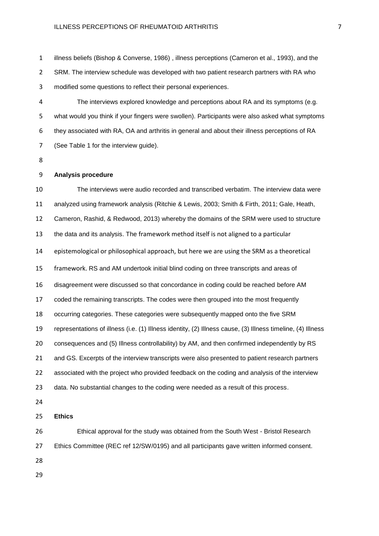illness beliefs (Bishop & Converse, 1986) , illness perceptions (Cameron et al., 1993), and the SRM. The interview schedule was developed with two patient research partners with RA who modified some questions to reflect their personal experiences.

 The interviews explored knowledge and perceptions about RA and its symptoms (e.g. what would you think if your fingers were swollen). Participants were also asked what symptoms they associated with RA, OA and arthritis in general and about their illness perceptions of RA (See Table 1 for the interview guide).

#### **Analysis procedure**

 The interviews were audio recorded and transcribed verbatim. The interview data were analyzed using framework analysis (Ritchie & Lewis, 2003; Smith & Firth, 2011; Gale, Heath, Cameron, Rashid, & Redwood, 2013) whereby the domains of the SRM were used to structure the data and its analysis. The framework method itself is not aligned to a particular epistemological or philosophical approach, but here we are using the SRM as a theoretical framework. RS and AM undertook initial blind coding on three transcripts and areas of disagreement were discussed so that concordance in coding could be reached before AM coded the remaining transcripts. The codes were then grouped into the most frequently occurring categories. These categories were subsequently mapped onto the five SRM representations of illness (i.e. (1) Illness identity, (2) Illness cause, (3) Illness timeline, (4) Illness consequences and (5) Illness controllability) by AM, and then confirmed independently by RS 21 and GS. Excerpts of the interview transcripts were also presented to patient research partners associated with the project who provided feedback on the coding and analysis of the interview data. No substantial changes to the coding were needed as a result of this process. **Ethics** Ethical approval for the study was obtained from the South West - Bristol Research

Ethics Committee (REC ref 12/SW/0195) and all participants gave written informed consent.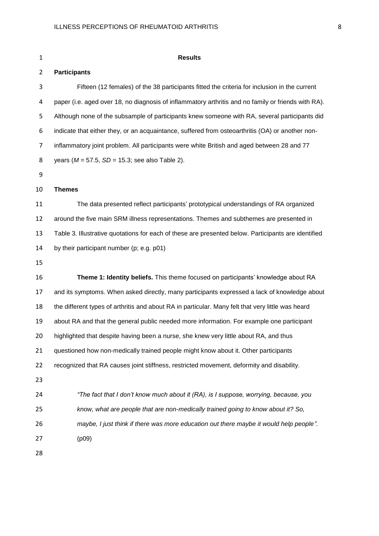| $\mathbf{1}$   | <b>Results</b>                                                                                      |
|----------------|-----------------------------------------------------------------------------------------------------|
| $\overline{2}$ | <b>Participants</b>                                                                                 |
| 3              | Fifteen (12 females) of the 38 participants fitted the criteria for inclusion in the current        |
| 4              | paper (i.e. aged over 18, no diagnosis of inflammatory arthritis and no family or friends with RA). |
| 5              | Although none of the subsample of participants knew someone with RA, several participants did       |
| 6              | indicate that either they, or an acquaintance, suffered from osteoarthritis (OA) or another non-    |
| 7              | inflammatory joint problem. All participants were white British and aged between 28 and 77          |
| 8              | years ( $M = 57.5$ , $SD = 15.3$ ; see also Table 2).                                               |
| 9              |                                                                                                     |
| 10             | <b>Themes</b>                                                                                       |
| 11             | The data presented reflect participants' prototypical understandings of RA organized                |
| 12             | around the five main SRM illness representations. Themes and subthemes are presented in             |
| 13             | Table 3. Illustrative quotations for each of these are presented below. Participants are identified |
| 14             | by their participant number (p; e.g. p01)                                                           |
| 15             |                                                                                                     |
| 16             | Theme 1: Identity beliefs. This theme focused on participants' knowledge about RA                   |
| 17             | and its symptoms. When asked directly, many participants expressed a lack of knowledge about        |
| 18             | the different types of arthritis and about RA in particular. Many felt that very little was heard   |
| 19             | about RA and that the general public needed more information. For example one participant           |
| 20             | highlighted that despite having been a nurse, she knew very little about RA, and thus               |
| 21             | questioned how non-medically trained people might know about it. Other participants                 |
| 22             | recognized that RA causes joint stiffness, restricted movement, deformity and disability.           |
| 23             |                                                                                                     |
| 24             | "The fact that I don't know much about it (RA), is I suppose, worrying, because, you                |
| 25             | know, what are people that are non-medically trained going to know about it? So,                    |
| 26             | maybe, I just think if there was more education out there maybe it would help people".              |
| 27             | (p09)                                                                                               |
| 28             |                                                                                                     |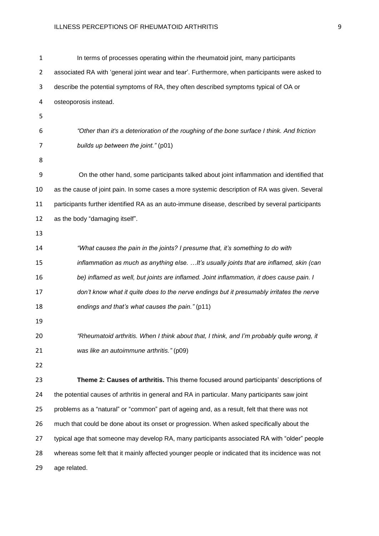| 1  | In terms of processes operating within the rheumatoid joint, many participants                   |  |
|----|--------------------------------------------------------------------------------------------------|--|
| 2  | associated RA with 'general joint wear and tear'. Furthermore, when participants were asked to   |  |
| 3  | describe the potential symptoms of RA, they often described symptoms typical of OA or            |  |
| 4  | osteoporosis instead.                                                                            |  |
| 5  |                                                                                                  |  |
| 6  | "Other than it's a deterioration of the roughing of the bone surface I think. And friction       |  |
| 7  | builds up between the joint." (p01)                                                              |  |
| 8  |                                                                                                  |  |
| 9  | On the other hand, some participants talked about joint inflammation and identified that         |  |
| 10 | as the cause of joint pain. In some cases a more systemic description of RA was given. Several   |  |
| 11 | participants further identified RA as an auto-immune disease, described by several participants  |  |
| 12 | as the body "damaging itself".                                                                   |  |
| 13 |                                                                                                  |  |
| 14 | "What causes the pain in the joints? I presume that, it's something to do with                   |  |
| 15 | inflammation as much as anything else.  It's usually joints that are inflamed, skin (can         |  |
| 16 | be) inflamed as well, but joints are inflamed. Joint inflammation, it does cause pain. I         |  |
| 17 | don't know what it quite does to the nerve endings but it presumably irritates the nerve         |  |
| 18 | endings and that's what causes the pain." (p11)                                                  |  |
| 19 |                                                                                                  |  |
| 20 | "Rheumatoid arthritis. When I think about that, I think, and I'm probably quite wrong, it        |  |
| 21 | was like an autoimmune arthritis." (p09)                                                         |  |
| 22 |                                                                                                  |  |
| 23 | Theme 2: Causes of arthritis. This theme focused around participants' descriptions of            |  |
| 24 | the potential causes of arthritis in general and RA in particular. Many participants saw joint   |  |
| 25 | problems as a "natural" or "common" part of ageing and, as a result, felt that there was not     |  |
| 26 | much that could be done about its onset or progression. When asked specifically about the        |  |
| 27 | typical age that someone may develop RA, many participants associated RA with "older" people     |  |
| 28 | whereas some felt that it mainly affected younger people or indicated that its incidence was not |  |
| 29 | age related.                                                                                     |  |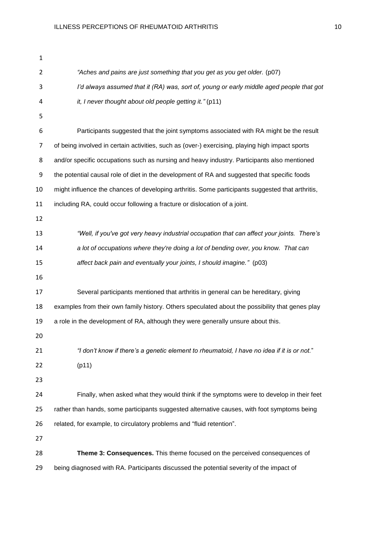| 1  |                                                                                                  |
|----|--------------------------------------------------------------------------------------------------|
| 2  | "Aches and pains are just something that you get as you get older. (p07)                         |
| 3  | I'd always assumed that it (RA) was, sort of, young or early middle aged people that got         |
| 4  | it, I never thought about old people getting it." (p11)                                          |
| 5  |                                                                                                  |
| 6  | Participants suggested that the joint symptoms associated with RA might be the result            |
| 7  | of being involved in certain activities, such as (over-) exercising, playing high impact sports  |
| 8  | and/or specific occupations such as nursing and heavy industry. Participants also mentioned      |
| 9  | the potential causal role of diet in the development of RA and suggested that specific foods     |
| 10 | might influence the chances of developing arthritis. Some participants suggested that arthritis, |
| 11 | including RA, could occur following a fracture or dislocation of a joint.                        |
| 12 |                                                                                                  |
| 13 | "Well, if you've got very heavy industrial occupation that can affect your joints. There's       |
| 14 | a lot of occupations where they're doing a lot of bending over, you know. That can               |
| 15 | affect back pain and eventually your joints, I should imagine." (p03)                            |
| 16 |                                                                                                  |
| 17 | Several participants mentioned that arthritis in general can be hereditary, giving               |
| 18 | examples from their own family history. Others speculated about the possibility that genes play  |
| 19 | a role in the development of RA, although they were generally unsure about this.                 |
| 20 |                                                                                                  |
| 21 | "I don't know if there's a genetic element to rheumatoid, I have no idea if it is or not."       |
| 22 | (p11)                                                                                            |
| 23 |                                                                                                  |
| 24 | Finally, when asked what they would think if the symptoms were to develop in their feet          |
| 25 | rather than hands, some participants suggested alternative causes, with foot symptoms being      |
| 26 | related, for example, to circulatory problems and "fluid retention".                             |
| 27 |                                                                                                  |
| 28 | Theme 3: Consequences. This theme focused on the perceived consequences of                       |
| 29 | being diagnosed with RA. Participants discussed the potential severity of the impact of          |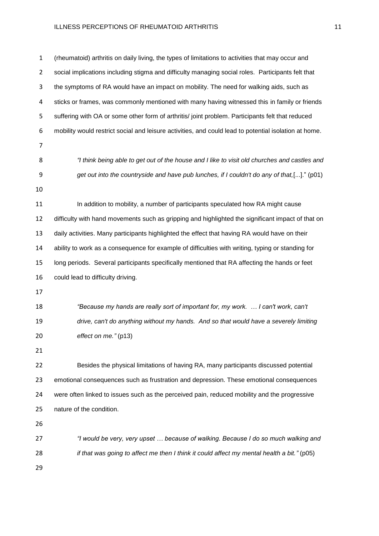(rheumatoid) arthritis on daily living, the types of limitations to activities that may occur and 2 social implications including stigma and difficulty managing social roles. Participants felt that the symptoms of RA would have an impact on mobility. The need for walking aids, such as sticks or frames, was commonly mentioned with many having witnessed this in family or friends 5 suffering with OA or some other form of arthritis/ joint problem. Participants felt that reduced mobility would restrict social and leisure activities, and could lead to potential isolation at home. *"I think being able to get out of the house and I like to visit old churches and castles and get out into the countryside and have pub lunches, if I couldn't do any of that,*[...]." (p01) In addition to mobility, a number of participants speculated how RA might cause 12 difficulty with hand movements such as gripping and highlighted the significant impact of that on daily activities. Many participants highlighted the effect that having RA would have on their ability to work as a consequence for example of difficulties with writing, typing or standing for long periods. Several participants specifically mentioned that RA affecting the hands or feet could lead to difficulty driving. *"Because my hands are really sort of important for, my work. … I can't work, can't drive, can't do anything without my hands. And so that would have a severely limiting effect on me."* (p13) Besides the physical limitations of having RA, many participants discussed potential emotional consequences such as frustration and depression. These emotional consequences were often linked to issues such as the perceived pain, reduced mobility and the progressive nature of the condition. *"I would be very, very upset … because of walking. Because I do so much walking and if that was going to affect me then I think it could affect my mental health a bit."* (p05)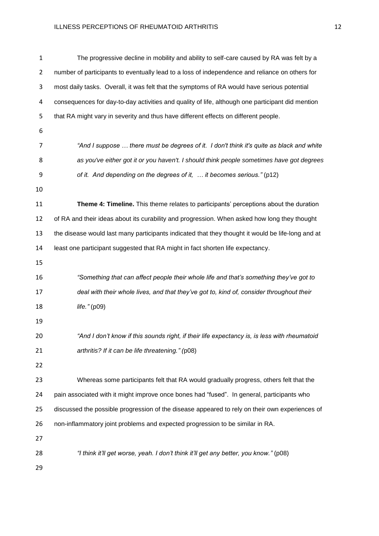| 1  | The progressive decline in mobility and ability to self-care caused by RA was felt by a           |
|----|---------------------------------------------------------------------------------------------------|
| 2  | number of participants to eventually lead to a loss of independence and reliance on others for    |
| 3  | most daily tasks. Overall, it was felt that the symptoms of RA would have serious potential       |
| 4  | consequences for day-to-day activities and quality of life, although one participant did mention  |
| 5  | that RA might vary in severity and thus have different effects on different people.               |
| 6  |                                                                                                   |
| 7  | "And I suppose  there must be degrees of it. I don't think it's quite as black and white          |
| 8  | as you've either got it or you haven't. I should think people sometimes have got degrees          |
| 9  | of it. And depending on the degrees of it,  it becomes serious." (p12)                            |
| 10 |                                                                                                   |
| 11 | Theme 4: Timeline. This theme relates to participants' perceptions about the duration             |
| 12 | of RA and their ideas about its curability and progression. When asked how long they thought      |
| 13 | the disease would last many participants indicated that they thought it would be life-long and at |
| 14 | least one participant suggested that RA might in fact shorten life expectancy.                    |
| 15 |                                                                                                   |
| 16 | "Something that can affect people their whole life and that's something they've got to            |
| 17 | deal with their whole lives, and that they've got to, kind of, consider throughout their          |
| 18 | life." $(p09)$                                                                                    |
| 19 |                                                                                                   |
| 20 | "And I don't know if this sounds right, if their life expectancy is, is less with rheumatoid      |
| 21 | arthritis? If it can be life threatening." (p08)                                                  |
| 22 |                                                                                                   |
| 23 | Whereas some participants felt that RA would gradually progress, others felt that the             |
| 24 | pain associated with it might improve once bones had "fused". In general, participants who        |
| 25 | discussed the possible progression of the disease appeared to rely on their own experiences of    |
| 26 | non-inflammatory joint problems and expected progression to be similar in RA.                     |
| 27 |                                                                                                   |
| 28 | "I think it'll get worse, yeah. I don't think it'll get any better, you know." (p08)              |
| 29 |                                                                                                   |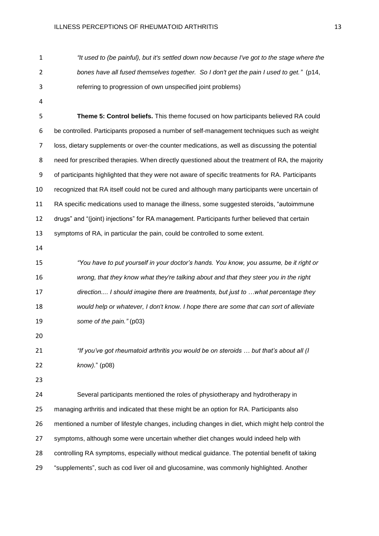*"It used to (be painful), but it's settled down now because I've got to the stage where the bones have all fused themselves together. So I don't get the pain I used to get."* (p14, referring to progression of own unspecified joint problems)

 **Theme 5: Control beliefs.** This theme focused on how participants believed RA could be controlled. Participants proposed a number of self-management techniques such as weight loss, dietary supplements or over-the counter medications, as well as discussing the potential 8 need for prescribed therapies. When directly questioned about the treatment of RA, the majority of participants highlighted that they were not aware of specific treatments for RA. Participants recognized that RA itself could not be cured and although many participants were uncertain of RA specific medications used to manage the illness, some suggested steroids, "autoimmune drugs" and "(joint) injections" for RA management. Participants further believed that certain symptoms of RA, in particular the pain, could be controlled to some extent.

 *"You have to put yourself in your doctor's hands. You know, you assume, be it right or wrong, that they know what they're talking about and that they steer you in the right direction.... I should imagine there are treatments, but just to …what percentage they would help or whatever, I don't know. I hope there are some that can sort of alleviate some of the pain."* (p03)

 *"If you've got rheumatoid arthritis you would be on steroids … but that's about all (I know).*" (p08)

 Several participants mentioned the roles of physiotherapy and hydrotherapy in managing arthritis and indicated that these might be an option for RA. Participants also mentioned a number of lifestyle changes, including changes in diet, which might help control the symptoms, although some were uncertain whether diet changes would indeed help with controlling RA symptoms, especially without medical guidance. The potential benefit of taking "supplements", such as cod liver oil and glucosamine, was commonly highlighted. Another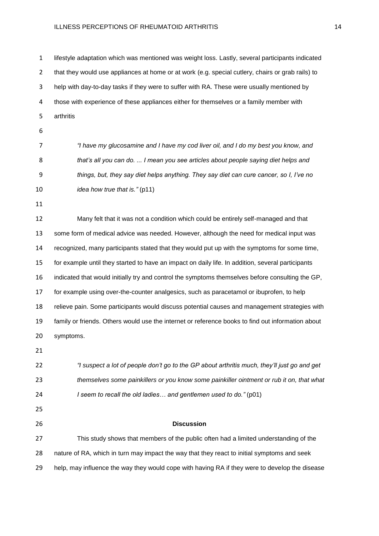lifestyle adaptation which was mentioned was weight loss. Lastly, several participants indicated that they would use appliances at home or at work (e.g. special cutlery, chairs or grab rails) to help with day-to-day tasks if they were to suffer with RA. These were usually mentioned by those with experience of these appliances either for themselves or a family member with arthritis *"I have my glucosamine and I have my cod liver oil, and I do my best you know, and that's all you can do. ... I mean you see articles about people saying diet helps and things, but, they say diet helps anything. They say diet can cure cancer, so I, I've no idea how true that is."* (p11) Many felt that it was not a condition which could be entirely self-managed and that some form of medical advice was needed. However, although the need for medical input was recognized, many participants stated that they would put up with the symptoms for some time, for example until they started to have an impact on daily life. In addition, several participants indicated that would initially try and control the symptoms themselves before consulting the GP, for example using over-the-counter analgesics, such as paracetamol or ibuprofen, to help relieve pain. Some participants would discuss potential causes and management strategies with family or friends. Others would use the internet or reference books to find out information about symptoms. *"I suspect a lot of people don't go to the GP about arthritis much, they'll just go and get themselves some painkillers or you know some painkiller ointment or rub it on, that what I seem to recall the old ladies… and gentlemen used to do."* (p01) **Discussion** This study shows that members of the public often had a limited understanding of the nature of RA, which in turn may impact the way that they react to initial symptoms and seek help, may influence the way they would cope with having RA if they were to develop the disease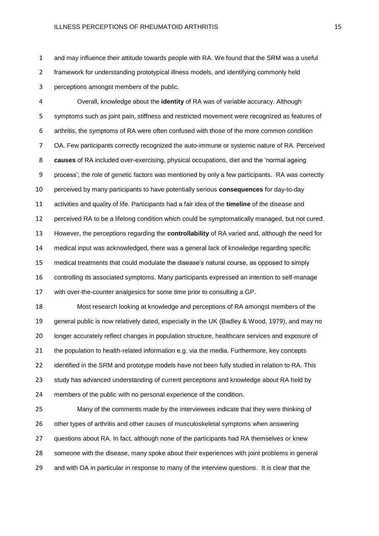and may influence their attitude towards people with RA. We found that the SRM was a useful framework for understanding prototypical illness models, and identifying commonly held perceptions amongst members of the public.

 Overall, knowledge about the **identity** of RA was of variable accuracy. Although symptoms such as joint pain, stiffness and restricted movement were recognized as features of arthritis, the symptoms of RA were often confused with those of the more common condition OA. Few participants correctly recognized the auto-immune or systemic nature of RA. Perceived **causes** of RA included over-exercising, physical occupations, diet and the 'normal ageing process'; the role of genetic factors was mentioned by only a few participants. RA was correctly perceived by many participants to have potentially serious **consequences** for day-to-day activities and quality of life. Participants had a fair idea of the **timeline** of the disease and perceived RA to be a lifelong condition which could be symptomatically managed, but not cured. However, the perceptions regarding the **controllability** of RA varied and, although the need for medical input was acknowledged, there was a general lack of knowledge regarding specific medical treatments that could modulate the disease's natural course, as opposed to simply controlling its associated symptoms. Many participants expressed an intention to self-manage with over-the-counter analgesics for some time prior to consulting a GP.

 Most research looking at knowledge and perceptions of RA amongst members of the general public is now relatively dated, especially in the UK (Badley & Wood, 1979), and may no longer accurately reflect changes in population structure, healthcare services and exposure of the population to health-related information e.g. via the media. Furthermore, key concepts 22 identified in the SRM and prototype models have not been fully studied in relation to RA. This study has advanced understanding of current perceptions and knowledge about RA held by members of the public with no personal experience of the condition.

 Many of the comments made by the interviewees indicate that they were thinking of other types of arthritis and other causes of musculoskeletal symptoms when answering questions about RA. In fact, although none of the participants had RA themselves or knew someone with the disease, many spoke about their experiences with joint problems in general and with OA in particular in response to many of the interview questions. It is clear that the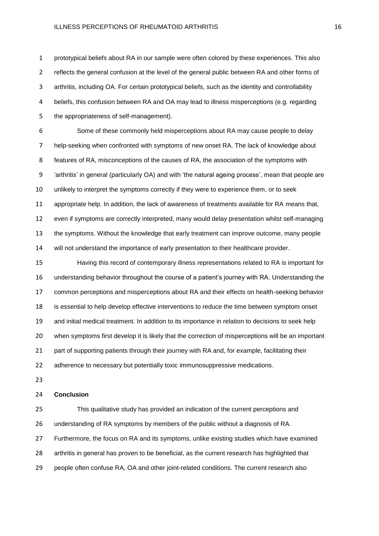prototypical beliefs about RA in our sample were often colored by these experiences. This also reflects the general confusion at the level of the general public between RA and other forms of arthritis, including OA. For certain prototypical beliefs, such as the identity and controllability beliefs, this confusion between RA and OA may lead to illness misperceptions (e.g. regarding the appropriateness of self-management).

 Some of these commonly held misperceptions about RA may cause people to delay help-seeking when confronted with symptoms of new onset RA. The lack of knowledge about features of RA, misconceptions of the causes of RA, the association of the symptoms with 'arthritis' in general (particularly OA) and with 'the natural ageing process', mean that people are unlikely to interpret the symptoms correctly if they were to experience them, or to seek appropriate help. In addition, the lack of awareness of treatments available for RA means that, even if symptoms are correctly interpreted, many would delay presentation whilst self-managing the symptoms. Without the knowledge that early treatment can improve outcome, many people will not understand the importance of early presentation to their healthcare provider.

 Having this record of contemporary illness representations related to RA is important for understanding behavior throughout the course of a patient's journey with RA. Understanding the common perceptions and misperceptions about RA and their effects on health-seeking behavior is essential to help develop effective interventions to reduce the time between symptom onset and initial medical treatment. In addition to its importance in relation to decisions to seek help when symptoms first develop it is likely that the correction of misperceptions will be an important part of supporting patients through their journey with RA and, for example, facilitating their 22 adherence to necessary but potentially toxic immunosuppressive medications.

#### **Conclusion**

 This qualitative study has provided an indication of the current perceptions and understanding of RA symptoms by members of the public without a diagnosis of RA. Furthermore, the focus on RA and its symptoms, unlike existing studies which have examined arthritis in general has proven to be beneficial, as the current research has highlighted that people often confuse RA, OA and other joint-related conditions. The current research also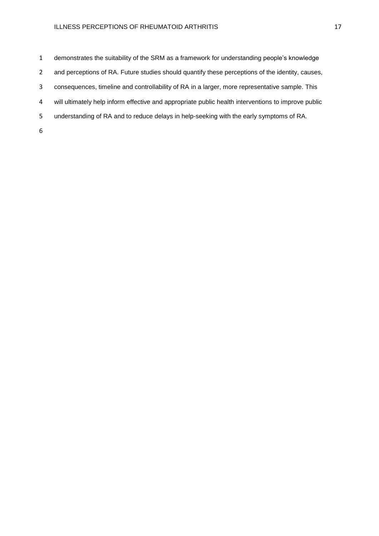demonstrates the suitability of the SRM as a framework for understanding people's knowledge 2 and perceptions of RA. Future studies should quantify these perceptions of the identity, causes, consequences, timeline and controllability of RA in a larger, more representative sample. This will ultimately help inform effective and appropriate public health interventions to improve public understanding of RA and to reduce delays in help-seeking with the early symptoms of RA.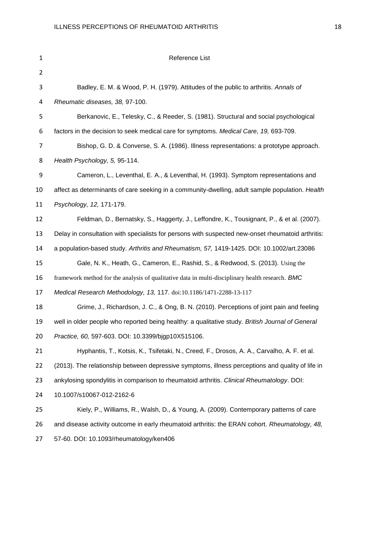| $\mathbf{1}$   | Reference List                                                                                    |
|----------------|---------------------------------------------------------------------------------------------------|
| $\overline{2}$ |                                                                                                   |
| 3              | Badley, E. M. & Wood, P. H. (1979). Attitudes of the public to arthritis. Annals of               |
| 4              | Rheumatic diseases, 38, 97-100.                                                                   |
| 5              | Berkanovic, E., Telesky, C., & Reeder, S. (1981). Structural and social psychological             |
| 6              | factors in the decision to seek medical care for symptoms. Medical Care, 19, 693-709.             |
| 7              | Bishop, G. D. & Converse, S. A. (1986). Illness representations: a prototype approach.            |
| 8              | Health Psychology, 5, 95-114.                                                                     |
| 9              | Cameron, L., Leventhal, E. A., & Leventhal, H. (1993). Symptom representations and                |
| 10             | affect as determinants of care seeking in a community-dwelling, adult sample population. Health   |
| 11             | Psychology, 12, 171-179.                                                                          |
| 12             | Feldman, D., Bernatsky, S., Haggerty, J., Leffondre, K., Tousignant, P., & et al. (2007).         |
| 13             | Delay in consultation with specialists for persons with suspected new-onset rheumatoid arthritis: |
| 14             | a population-based study. Arthritis and Rheumatism, 57, 1419-1425. DOI: 10.1002/art.23086         |
| 15             | Gale, N. K., Heath, G., Cameron, E., Rashid, S., & Redwood, S. (2013). Using the                  |
| 16             | framework method for the analysis of qualitative data in multi-disciplinary health research. BMC  |
| 17             | Medical Research Methodology, 13, 117. doi:10.1186/1471-2288-13-117                               |
| 18             | Grime, J., Richardson, J. C., & Ong, B. N. (2010). Perceptions of joint pain and feeling          |
| 19             | well in older people who reported being healthy: a qualitative study. British Journal of General  |
| 20             | Practice, 60, 597-603. DOI: 10.3399/bjgp10X515106.                                                |
| 21             | Hyphantis, T., Kotsis, K., Tsifetaki, N., Creed, F., Drosos, A. A., Carvalho, A. F. et al.        |
| 22             | (2013). The relationship between depressive symptoms, illness perceptions and quality of life in  |
| 23             | ankylosing spondylitis in comparison to rheumatoid arthritis. Clinical Rheumatology. DOI:         |
| 24             | 10.1007/s10067-012-2162-6                                                                         |
| 25             | Kiely, P., Williams, R., Walsh, D., & Young, A. (2009). Contemporary patterns of care             |
| 26             | and disease activity outcome in early rheumatoid arthritis: the ERAN cohort. Rheumatology, 48,    |
| 27             | 57-60. DOI: 10.1093/rheumatology/ken406                                                           |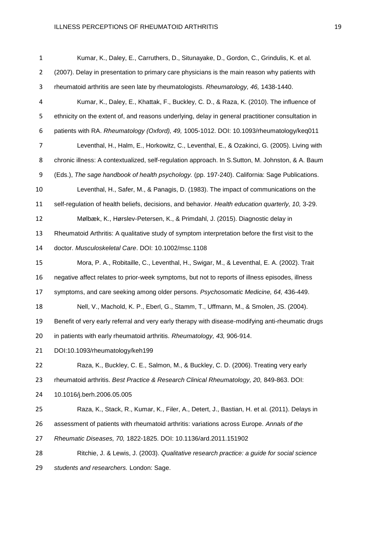| $\mathbf{1}$   | Kumar, K., Daley, E., Carruthers, D., Situnayake, D., Gordon, C., Grindulis, K. et al.            |
|----------------|---------------------------------------------------------------------------------------------------|
| $\overline{2}$ | (2007). Delay in presentation to primary care physicians is the main reason why patients with     |
| 3              | rheumatoid arthritis are seen late by rheumatologists. Rheumatology, 46, 1438-1440.               |
| 4              | Kumar, K., Daley, E., Khattak, F., Buckley, C. D., & Raza, K. (2010). The influence of            |
| 5              | ethnicity on the extent of, and reasons underlying, delay in general practitioner consultation in |
| 6              | patients with RA. Rheumatology (Oxford), 49, 1005-1012. DOI: 10.1093/rheumatology/keq011          |
| 7              | Leventhal, H., Halm, E., Horkowitz, C., Leventhal, E., & Ozakinci, G. (2005). Living with         |
| 8              | chronic illness: A contextualized, self-regulation approach. In S.Sutton, M. Johnston, & A. Baum  |
| 9              | (Eds.), The sage handbook of health psychology. (pp. 197-240). California: Sage Publications.     |
| 10             | Leventhal, H., Safer, M., & Panagis, D. (1983). The impact of communications on the               |
| 11             | self-regulation of health beliefs, decisions, and behavior. Health education quarterly, 10, 3-29. |
| 12             | Mølbæk, K., Hørslev-Petersen, K., & Primdahl, J. (2015). Diagnostic delay in                      |
| 13             | Rheumatoid Arthritis: A qualitative study of symptom interpretation before the first visit to the |
| 14             | doctor. Musculoskeletal Care. DOI: 10.1002/msc.1108                                               |
| 15             | Mora, P. A., Robitaille, C., Leventhal, H., Swigar, M., & Leventhal, E. A. (2002). Trait          |
| 16             | negative affect relates to prior-week symptoms, but not to reports of illness episodes, illness   |
| 17             | symptoms, and care seeking among older persons. Psychosomatic Medicine, 64, 436-449.              |
| 18             | Nell, V., Machold, K. P., Eberl, G., Stamm, T., Uffmann, M., & Smolen, JS. (2004).                |
| 19             | Benefit of very early referral and very early therapy with disease-modifying anti-rheumatic drugs |
| 20             | in patients with early rheumatoid arthritis. Rheumatology, 43, 906-914.                           |
| 21             | DOI:10.1093/rheumatology/keh199                                                                   |
| 22             | Raza, K., Buckley, C. E., Salmon, M., & Buckley, C. D. (2006). Treating very early                |
| 23             | rheumatoid arthritis. Best Practice & Research Clinical Rheumatology, 20, 849-863. DOI:           |
| 24             | 10.1016/j.berh.2006.05.005                                                                        |
| 25             | Raza, K., Stack, R., Kumar, K., Filer, A., Detert, J., Bastian, H. et al. (2011). Delays in       |
| 26             | assessment of patients with rheumatoid arthritis: variations across Europe. Annals of the         |
| 27             | Rheumatic Diseases, 70, 1822-1825. DOI: 10.1136/ard.2011.151902                                   |
| 28             | Ritchie, J. & Lewis, J. (2003). Qualitative research practice: a guide for social science         |
| 29             | students and researchers. London: Sage.                                                           |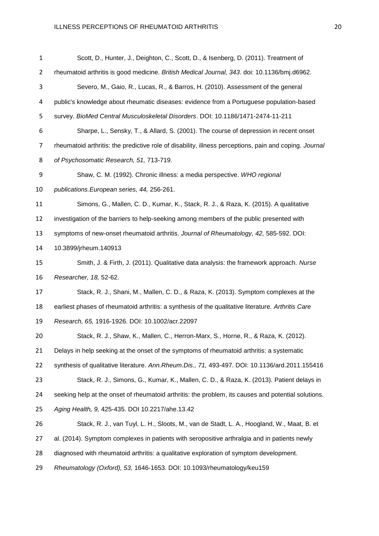| $\mathbf{1}$ | Scott, D., Hunter, J., Deighton, C., Scott, D., & Isenberg, D. (2011). Treatment of                    |  |  |  |
|--------------|--------------------------------------------------------------------------------------------------------|--|--|--|
| 2            | rheumatoid arthritis is good medicine. British Medical Journal, 343. doi: 10.1136/bmj.d6962.           |  |  |  |
| 3            | Severo, M., Gaio, R., Lucas, R., & Barros, H. (2010). Assessment of the general                        |  |  |  |
| 4            | public's knowledge about rheumatic diseases: evidence from a Portuguese population-based               |  |  |  |
| 5            | survey. BioMed Central Musculoskeletal Disorders. DOI: 10.1186/1471-2474-11-211                        |  |  |  |
| 6            | Sharpe, L., Sensky, T., & Allard, S. (2001). The course of depression in recent onset                  |  |  |  |
| 7            | rheumatoid arthritis: the predictive role of disability, illness perceptions, pain and coping. Journal |  |  |  |
| 8            | of Psychosomatic Research, 51, 713-719.                                                                |  |  |  |
| 9            | Shaw, C. M. (1992). Chronic illness: a media perspective. WHO regional                                 |  |  |  |
| 10           | publications. European series, 44, 256-261.                                                            |  |  |  |
| 11           | Simons, G., Mallen, C. D., Kumar, K., Stack, R. J., & Raza, K. (2015). A qualitative                   |  |  |  |
| 12           | investigation of the barriers to help-seeking among members of the public presented with               |  |  |  |
| 13           | symptoms of new-onset rheumatoid arthritis. Journal of Rheumatology, 42, 585-592. DOI:                 |  |  |  |
| 14           | 10.3899/jrheum.140913                                                                                  |  |  |  |
| 15           | Smith, J. & Firth, J. (2011). Qualitative data analysis: the framework approach. Nurse                 |  |  |  |
| 16           | Researcher, 18, 52-62.                                                                                 |  |  |  |
| 17           | Stack, R. J., Shani, M., Mallen, C. D., & Raza, K. (2013). Symptom complexes at the                    |  |  |  |
| 18           | earliest phases of rheumatoid arthritis: a synthesis of the qualitative literature. Arthritis Care     |  |  |  |
| 19           | Research, 65, 1916-1926. DOI: 10.1002/acr.22097                                                        |  |  |  |
| 20           | Stack, R. J., Shaw, K., Mallen, C., Herron-Marx, S., Horne, R., & Raza, K. (2012).                     |  |  |  |
| 21           | Delays in help seeking at the onset of the symptoms of rheumatoid arthritis: a systematic              |  |  |  |
| 22           | synthesis of qualitative literature. Ann. Rheum. Dis., 71, 493-497. DOI: 10.1136/ard. 2011.155416      |  |  |  |
| 23           | Stack, R. J., Simons, G., Kumar, K., Mallen, C. D., & Raza, K. (2013). Patient delays in               |  |  |  |
| 24           | seeking help at the onset of rheumatoid arthritis: the problem, its causes and potential solutions.    |  |  |  |
| 25           | Aging Health, 9, 425-435. DOI 10.2217/ahe.13.42                                                        |  |  |  |
| 26           | Stack, R. J., van Tuyl, L. H., Sloots, M., van de Stadt, L. A., Hoogland, W., Maat, B. et              |  |  |  |
| 27           | al. (2014). Symptom complexes in patients with seropositive arthralgia and in patients newly           |  |  |  |
| 28           | diagnosed with rheumatoid arthritis: a qualitative exploration of symptom development.                 |  |  |  |
| 29           | Rheumatology (Oxford), 53, 1646-1653. DOI: 10.1093/rheumatology/keu159                                 |  |  |  |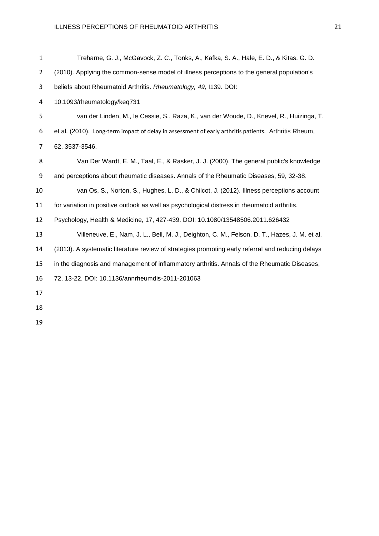| $\mathbf{1}$   | Treharne, G. J., McGavock, Z. C., Tonks, A., Kafka, S. A., Hale, E. D., & Kitas, G. D.               |
|----------------|------------------------------------------------------------------------------------------------------|
| $\overline{2}$ | (2010). Applying the common-sense model of illness perceptions to the general population's           |
| 3              | beliefs about Rheumatoid Arthritis. Rheumatology, 49, I139. DOI:                                     |
| 4              | 10.1093/rheumatology/keq731                                                                          |
| 5              | van der Linden, M., le Cessie, S., Raza, K., van der Woude, D., Knevel, R., Huizinga, T.             |
| 6              | et al. (2010). Long-term impact of delay in assessment of early arthritis patients. Arthritis Rheum, |
| 7              | 62, 3537-3546.                                                                                       |
| 8              | Van Der Wardt, E. M., Taal, E., & Rasker, J. J. (2000). The general public's knowledge               |
| 9              | and perceptions about rheumatic diseases. Annals of the Rheumatic Diseases, 59, 32-38.               |
| 10             | van Os, S., Norton, S., Hughes, L. D., & Chilcot, J. (2012). Illness perceptions account             |
| 11             | for variation in positive outlook as well as psychological distress in rheumatoid arthritis.         |
| 12             | Psychology, Health & Medicine, 17, 427-439. DOI: 10.1080/13548506.2011.626432                        |
| 13             | Villeneuve, E., Nam, J. L., Bell, M. J., Deighton, C. M., Felson, D. T., Hazes, J. M. et al.         |
| 14             | (2013). A systematic literature review of strategies promoting early referral and reducing delays    |
| 15             | in the diagnosis and management of inflammatory arthritis. Annals of the Rheumatic Diseases,         |
| 16             | 72, 13-22. DOI: 10.1136/annrheumdis-2011-201063                                                      |
| 17             |                                                                                                      |
| 18             |                                                                                                      |
|                |                                                                                                      |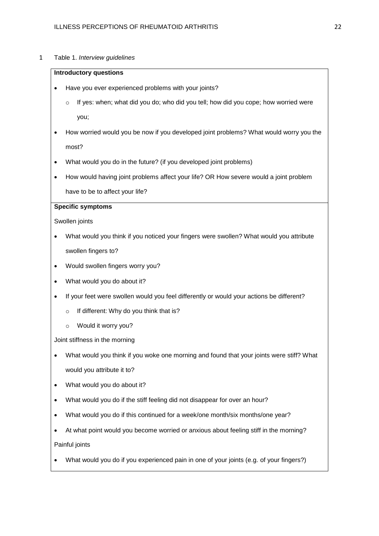### 1 Table 1. *Interview guidelines*

#### **Introductory questions**

- Have you ever experienced problems with your joints?
	- o If yes: when; what did you do; who did you tell; how did you cope; how worried were you;
- How worried would you be now if you developed joint problems? What would worry you the most?
- What would you do in the future? (if you developed joint problems)
- How would having joint problems affect your life? OR How severe would a joint problem have to be to affect your life?

# **Specific symptoms**

Swollen joints

- What would you think if you noticed your fingers were swollen? What would you attribute swollen fingers to?
- Would swollen fingers worry you?
- What would you do about it?
- If your feet were swollen would you feel differently or would your actions be different?
	- o If different: Why do you think that is?
	- o Would it worry you?

Joint stiffness in the morning

- What would you think if you woke one morning and found that your joints were stiff? What would you attribute it to?
- What would you do about it?
- What would you do if the stiff feeling did not disappear for over an hour?
- What would you do if this continued for a week/one month/six months/one year?
- At what point would you become worried or anxious about feeling stiff in the morning? Painful joints
- What would you do if you experienced pain in one of your joints (e.g. of your fingers?)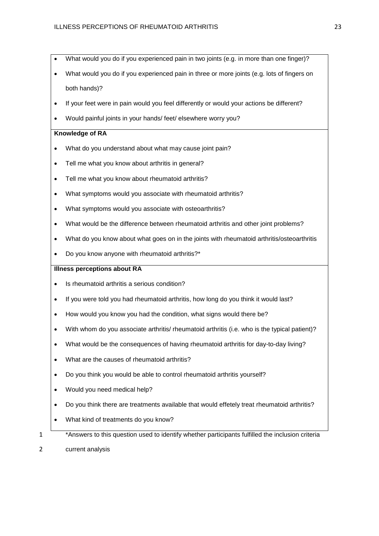- What would you do if you experienced pain in two joints (e.g. in more than one finger)?
- What would you do if you experienced pain in three or more joints (e.g. lots of fingers on both hands)?
- If your feet were in pain would you feel differently or would your actions be different?
- Would painful joints in your hands/ feet/ elsewhere worry you?

# **Knowledge of RA**

- What do you understand about what may cause joint pain?
- Tell me what you know about arthritis in general?
- Tell me what you know about rheumatoid arthritis?
- What symptoms would you associate with rheumatoid arthritis?
- What symptoms would you associate with osteoarthritis?
- What would be the difference between rheumatoid arthritis and other joint problems?
- What do you know about what goes on in the joints with rheumatoid arthritis/osteoarthritis
- Do you know anyone with rheumatoid arthritis?\*

# **Illness perceptions about RA**

- Is rheumatoid arthritis a serious condition?
- If you were told you had rheumatoid arthritis, how long do you think it would last?
- How would you know you had the condition, what signs would there be?
- With whom do you associate arthritis/ rheumatoid arthritis (i.e. who is the typical patient)?
- What would be the consequences of having rheumatoid arthritis for day-to-day living?
- What are the causes of rheumatoid arthritis?
- Do you think you would be able to control rheumatoid arthritis yourself?
- Would you need medical help?
- Do you think there are treatments available that would effetely treat rheumatoid arthritis?
- What kind of treatments do you know?
- 
- <sup>1</sup> \*Answers to this question used to identify whether participants fulfilled the inclusion criteria
- 2 current analysis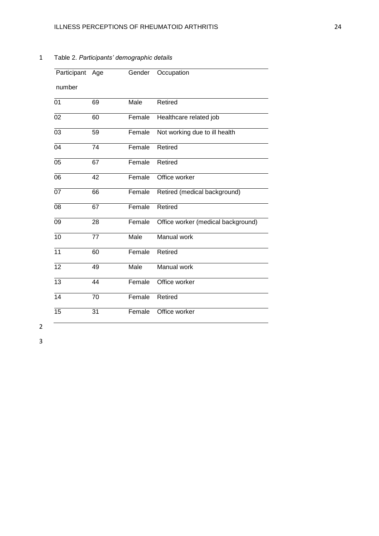| Participant Age |    | Gender | Occupation                         |
|-----------------|----|--------|------------------------------------|
|                 |    |        |                                    |
| number          |    |        |                                    |
| 01              | 69 | Male   | Retired                            |
| 02              | 60 | Female | Healthcare related job             |
|                 |    |        |                                    |
| 03              | 59 | Female | Not working due to ill health      |
| 04              | 74 | Female | Retired                            |
| 05              | 67 | Female | Retired                            |
| 06              | 42 | Female | Office worker                      |
| 07              | 66 | Female | Retired (medical background)       |
| 08              | 67 | Female | Retired                            |
| 09              | 28 | Female | Office worker (medical background) |
| 10              | 77 | Male   | <b>Manual work</b>                 |
| 11              | 60 | Female | Retired                            |
| $\overline{12}$ | 49 | Male   | <b>Manual work</b>                 |
| 13              | 44 | Female | Office worker                      |
| 14              | 70 | Female | Retired                            |
| $\overline{15}$ | 31 | Female | Office worker                      |

Table 2. *Participants' demographic details*